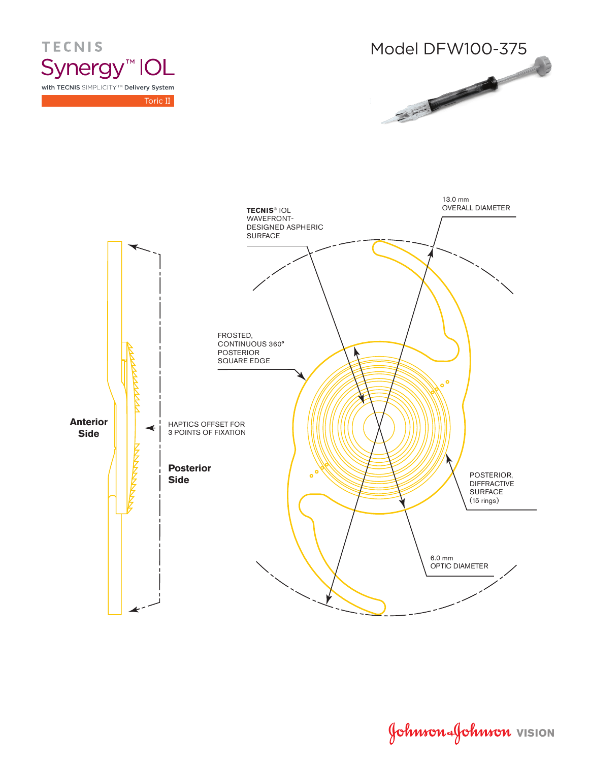

**TECNIS** Synergy<sup>™</sup> IOL with TECNIS SIMPLICITY™ Delivery System

Toric II



Johnson Johnson VISION